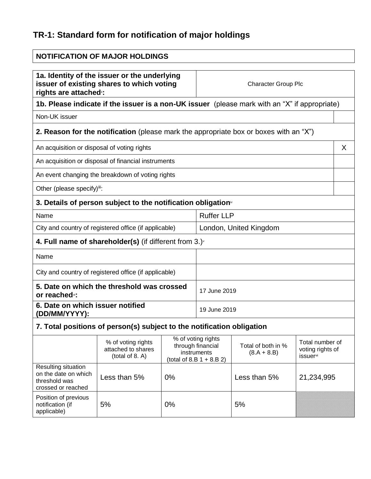# **TR-1: Standard form for notification of major holdings**

| <b>NOTIFICATION OF MAJOR HOLDINGS</b>                                                                                           |                                                                                              |                                                                                       |                            |                                     |                                                                     |
|---------------------------------------------------------------------------------------------------------------------------------|----------------------------------------------------------------------------------------------|---------------------------------------------------------------------------------------|----------------------------|-------------------------------------|---------------------------------------------------------------------|
| 1a. Identity of the issuer or the underlying<br>issuer of existing shares to which voting<br>rights are attached <sup>®</sup> : |                                                                                              |                                                                                       | <b>Character Group Plc</b> |                                     |                                                                     |
| 1b. Please indicate if the issuer is a non-UK issuer (please mark with an "X" if appropriate)                                   |                                                                                              |                                                                                       |                            |                                     |                                                                     |
| Non-UK issuer                                                                                                                   |                                                                                              |                                                                                       |                            |                                     |                                                                     |
|                                                                                                                                 | <b>2. Reason for the notification</b> (please mark the appropriate box or boxes with an "X") |                                                                                       |                            |                                     |                                                                     |
| An acquisition or disposal of voting rights                                                                                     |                                                                                              |                                                                                       |                            |                                     | X                                                                   |
|                                                                                                                                 | An acquisition or disposal of financial instruments                                          |                                                                                       |                            |                                     |                                                                     |
|                                                                                                                                 | An event changing the breakdown of voting rights                                             |                                                                                       |                            |                                     |                                                                     |
| Other (please specify)ii:                                                                                                       |                                                                                              |                                                                                       |                            |                                     |                                                                     |
|                                                                                                                                 | 3. Details of person subject to the notification obligation <sup>®</sup>                     |                                                                                       |                            |                                     |                                                                     |
| Name                                                                                                                            |                                                                                              |                                                                                       | <b>Ruffer LLP</b>          |                                     |                                                                     |
| City and country of registered office (if applicable)                                                                           |                                                                                              |                                                                                       | London, United Kingdom     |                                     |                                                                     |
|                                                                                                                                 | 4. Full name of shareholder(s) (if different from $3.$ )                                     |                                                                                       |                            |                                     |                                                                     |
| Name                                                                                                                            |                                                                                              |                                                                                       |                            |                                     |                                                                     |
| City and country of registered office (if applicable)                                                                           |                                                                                              |                                                                                       |                            |                                     |                                                                     |
| 5. Date on which the threshold was crossed<br>or reached <sup>®</sup> :                                                         |                                                                                              |                                                                                       | 17 June 2019               |                                     |                                                                     |
| 6. Date on which issuer notified<br>(DD/MM/YYYY):                                                                               |                                                                                              |                                                                                       | 19 June 2019               |                                     |                                                                     |
| 7. Total positions of person(s) subject to the notification obligation                                                          |                                                                                              |                                                                                       |                            |                                     |                                                                     |
|                                                                                                                                 | % of voting rights<br>attached to shares<br>(total of 8. A)                                  | % of voting rights<br>through financial<br>instruments<br>(total of 8.B $1 + 8.B 2$ ) |                            | Total of both in %<br>$(8.A + 8.B)$ | Total number of<br>voting rights of<br><b>issuer</b> <sup>vii</sup> |
| Resulting situation<br>on the date on which<br>threshold was<br>crossed or reached                                              | Less than 5%                                                                                 | 0%                                                                                    |                            | Less than 5%                        | 21,234,995                                                          |
| Position of previous<br>notification (if<br>applicable)                                                                         | 5%                                                                                           | 0%                                                                                    |                            | 5%                                  |                                                                     |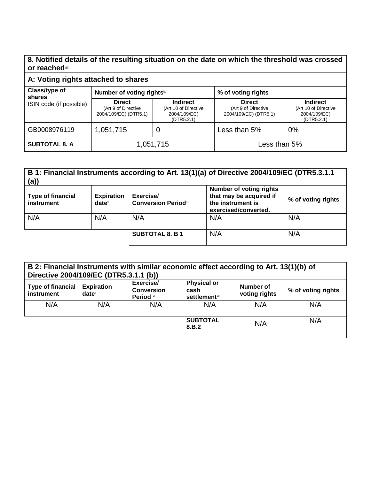**8. Notified details of the resulting situation on the date on which the threshold was crossed or reached**viii

## **A: Voting rights attached to shares**

| Class/type of<br>shares<br>ISIN code (if possible) | Number of voting rightsix                                     |                                                                       | % of voting rights                                            |                                                                       |
|----------------------------------------------------|---------------------------------------------------------------|-----------------------------------------------------------------------|---------------------------------------------------------------|-----------------------------------------------------------------------|
|                                                    | <b>Direct</b><br>(Art 9 of Directive<br>2004/109/EC) (DTR5.1) | <b>Indirect</b><br>(Art 10 of Directive<br>2004/109/EC)<br>(DTR5.2.1) | <b>Direct</b><br>(Art 9 of Directive<br>2004/109/EC) (DTR5.1) | <b>Indirect</b><br>(Art 10 of Directive<br>2004/109/EC)<br>(DTR5.2.1) |
| GB0008976119                                       | 1,051,715                                                     | U                                                                     | Less than 5%                                                  | 0%                                                                    |
| <b>SUBTOTAL 8. A</b>                               | 1,051,715                                                     |                                                                       | Less than 5%                                                  |                                                                       |

### **B 1: Financial Instruments according to Art. 13(1)(a) of Directive 2004/109/EC (DTR5.3.1.1 (a))**

| <b>Type of financial</b><br>instrument | <b>Expiration</b><br>$date^{\times}$ | Exercise/<br><b>Conversion Periodxi</b> | <b>Number of voting rights</b><br>that may be acquired if<br>the instrument is<br>exercised/converted. | % of voting rights |
|----------------------------------------|--------------------------------------|-----------------------------------------|--------------------------------------------------------------------------------------------------------|--------------------|
| N/A                                    | N/A                                  | N/A                                     | N/A                                                                                                    | N/A                |
|                                        |                                      | <b>SUBTOTAL 8. B1</b>                   | N/A                                                                                                    | N/A                |

| B 2: Financial Instruments with similar economic effect according to Art. 13(1)(b) of<br>Directive 2004/109/EC (DTR5.3.1.1 (b)) |                                      |                                            |                                                                |                            |                    |
|---------------------------------------------------------------------------------------------------------------------------------|--------------------------------------|--------------------------------------------|----------------------------------------------------------------|----------------------------|--------------------|
| Type of financial<br>instrument                                                                                                 | <b>Expiration</b><br>$date^{\times}$ | Exercise/<br><b>Conversion</b><br>Period * | <b>Physical or</b><br>cash<br><b>settlement</b> <sup>xii</sup> | Number of<br>voting rights | % of voting rights |
| N/A                                                                                                                             | N/A                                  | N/A                                        | N/A                                                            | N/A                        | N/A                |
|                                                                                                                                 |                                      |                                            | <b>SUBTOTAL</b><br>8.B.2                                       | N/A                        | N/A                |